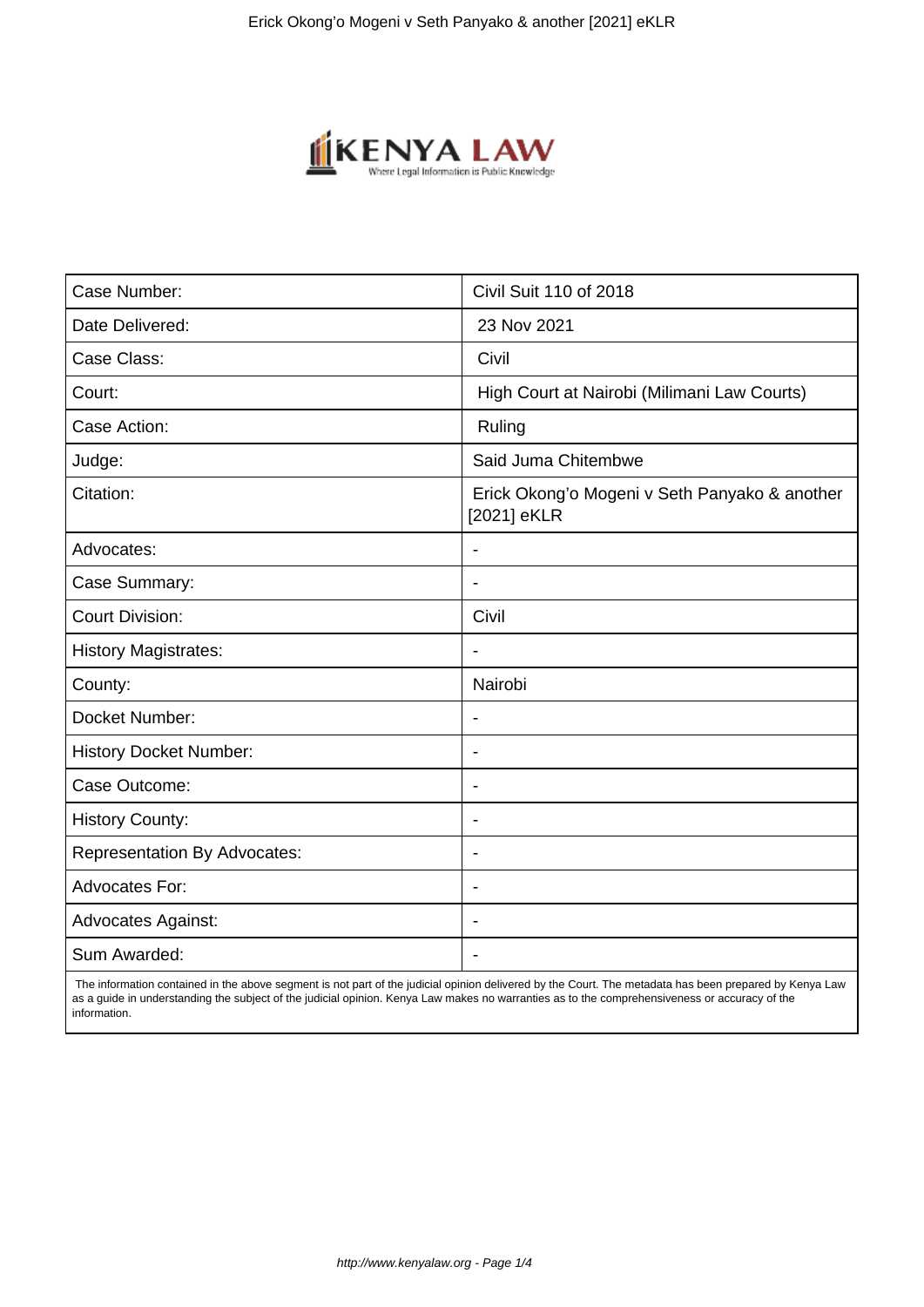

| Case Number:                        | Civil Suit 110 of 2018                                       |
|-------------------------------------|--------------------------------------------------------------|
| Date Delivered:                     | 23 Nov 2021                                                  |
| Case Class:                         | Civil                                                        |
| Court:                              | High Court at Nairobi (Milimani Law Courts)                  |
| Case Action:                        | Ruling                                                       |
| Judge:                              | Said Juma Chitembwe                                          |
| Citation:                           | Erick Okong'o Mogeni v Seth Panyako & another<br>[2021] eKLR |
| Advocates:                          |                                                              |
| Case Summary:                       | $\blacksquare$                                               |
| <b>Court Division:</b>              | Civil                                                        |
| <b>History Magistrates:</b>         | $\blacksquare$                                               |
| County:                             | Nairobi                                                      |
| Docket Number:                      |                                                              |
| <b>History Docket Number:</b>       | $\overline{\phantom{a}}$                                     |
| Case Outcome:                       |                                                              |
| <b>History County:</b>              | $\overline{\phantom{a}}$                                     |
| <b>Representation By Advocates:</b> | $\blacksquare$                                               |
| Advocates For:                      | $\blacksquare$                                               |
| <b>Advocates Against:</b>           | $\overline{\phantom{0}}$                                     |
| Sum Awarded:                        |                                                              |

 The information contained in the above segment is not part of the judicial opinion delivered by the Court. The metadata has been prepared by Kenya Law as a guide in understanding the subject of the judicial opinion. Kenya Law makes no warranties as to the comprehensiveness or accuracy of the information.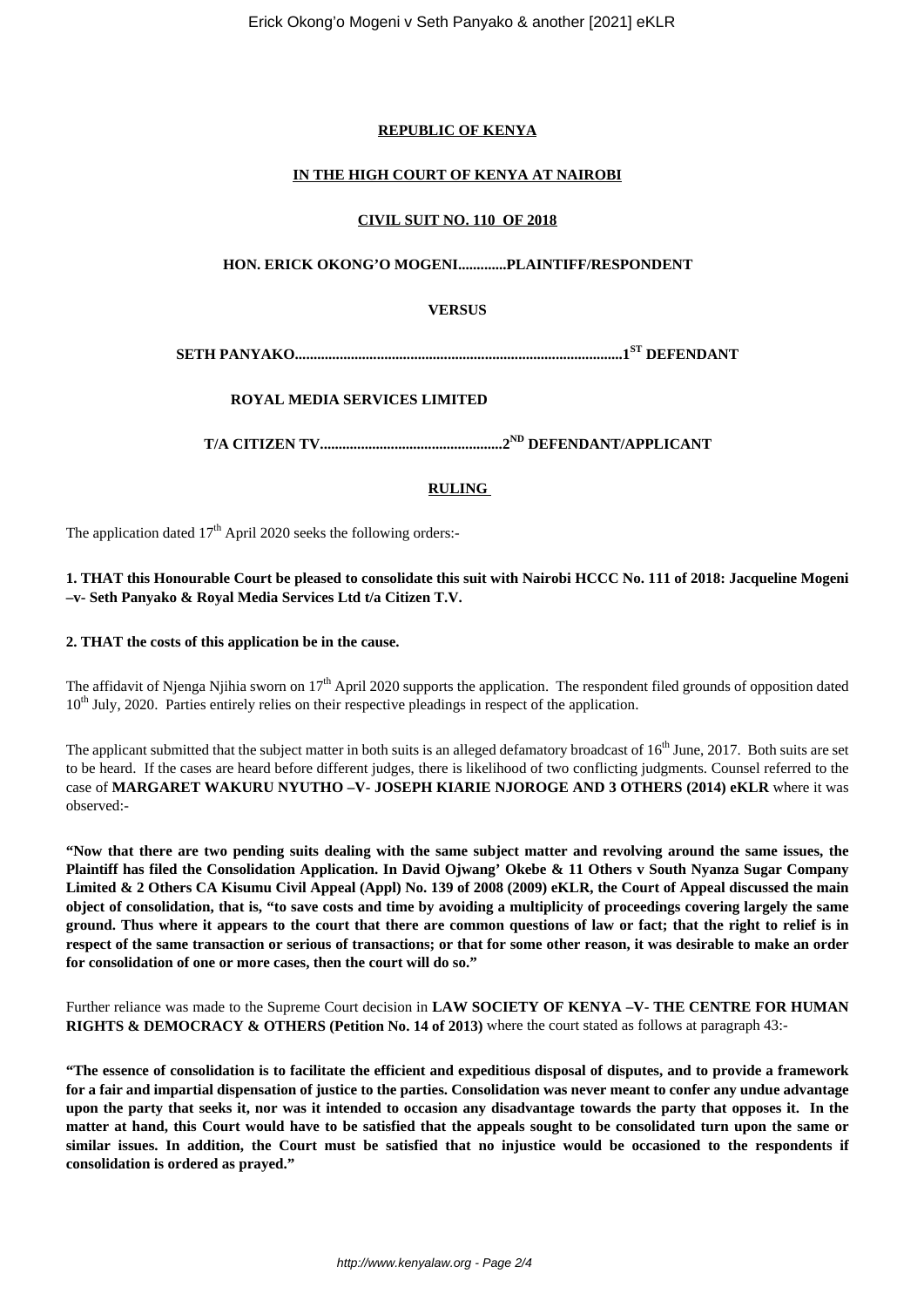## **REPUBLIC OF KENYA**

## **IN THE HIGH COURT OF KENYA AT NAIROBI**

#### **CIVIL SUIT NO. 110 OF 2018**

## **HON. ERICK OKONG'O MOGENI.............PLAINTIFF/RESPONDENT**

## **VERSUS**

**SETH PANYAKO........................................................................................1ST DEFENDANT**

# **ROYAL MEDIA SERVICES LIMITED**

**T/A CITIZEN TV.................................................2ND DEFENDANT/APPLICANT**

#### **RULING**

The application dated 17<sup>th</sup> April 2020 seeks the following orders:-

## **1. THAT this Honourable Court be pleased to consolidate this suit with Nairobi HCCC No. 111 of 2018: Jacqueline Mogeni –v- Seth Panyako & Royal Media Services Ltd t/a Citizen T.V.**

#### **2. THAT the costs of this application be in the cause.**

The affidavit of Njenga Njihia sworn on  $17<sup>th</sup>$  April 2020 supports the application. The respondent filed grounds of opposition dated 10<sup>th</sup> July, 2020. Parties entirely relies on their respective pleadings in respect of the application.

The applicant submitted that the subject matter in both suits is an alleged defamatory broadcast of  $16<sup>th</sup>$  June, 2017. Both suits are set to be heard. If the cases are heard before different judges, there is likelihood of two conflicting judgments. Counsel referred to the case of **MARGARET WAKURU NYUTHO –V- JOSEPH KIARIE NJOROGE AND 3 OTHERS (2014) eKLR** where it was observed:-

**"Now that there are two pending suits dealing with the same subject matter and revolving around the same issues, the Plaintiff has filed the Consolidation Application. In David Ojwang' Okebe & 11 Others v South Nyanza Sugar Company Limited & 2 Others CA Kisumu Civil Appeal (Appl) No. 139 of 2008 (2009) eKLR, the Court of Appeal discussed the main object of consolidation, that is, "to save costs and time by avoiding a multiplicity of proceedings covering largely the same ground. Thus where it appears to the court that there are common questions of law or fact; that the right to relief is in respect of the same transaction or serious of transactions; or that for some other reason, it was desirable to make an order for consolidation of one or more cases, then the court will do so."**

Further reliance was made to the Supreme Court decision in **LAW SOCIETY OF KENYA –V- THE CENTRE FOR HUMAN RIGHTS & DEMOCRACY & OTHERS (Petition No. 14 of 2013)** where the court stated as follows at paragraph 43:-

**"The essence of consolidation is to facilitate the efficient and expeditious disposal of disputes, and to provide a framework for a fair and impartial dispensation of justice to the parties. Consolidation was never meant to confer any undue advantage upon the party that seeks it, nor was it intended to occasion any disadvantage towards the party that opposes it. In the matter at hand, this Court would have to be satisfied that the appeals sought to be consolidated turn upon the same or similar issues. In addition, the Court must be satisfied that no injustice would be occasioned to the respondents if consolidation is ordered as prayed."**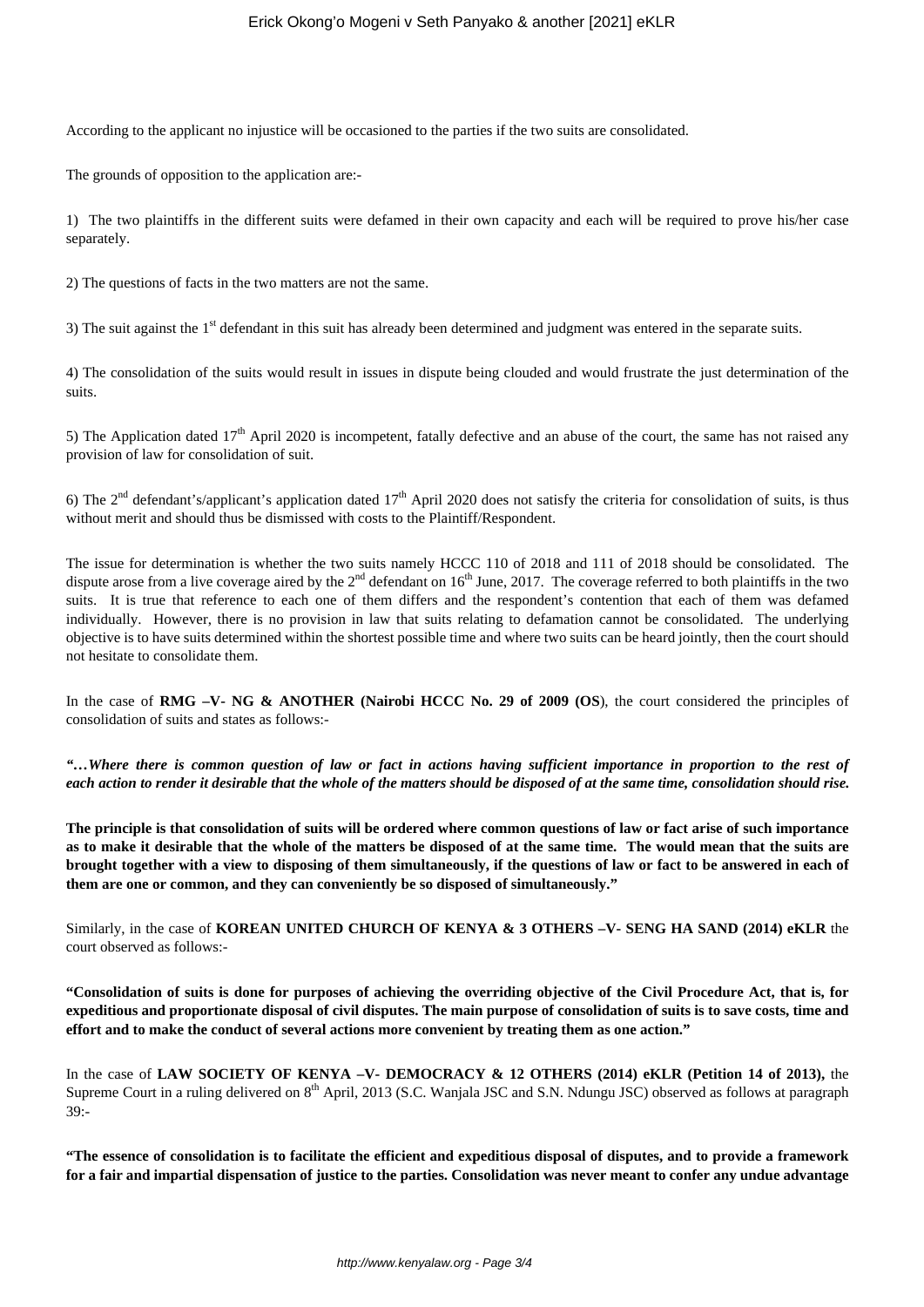According to the applicant no injustice will be occasioned to the parties if the two suits are consolidated.

The grounds of opposition to the application are:-

1) The two plaintiffs in the different suits were defamed in their own capacity and each will be required to prove his/her case separately.

2) The questions of facts in the two matters are not the same.

3) The suit against the 1<sup>st</sup> defendant in this suit has already been determined and judgment was entered in the separate suits.

4) The consolidation of the suits would result in issues in dispute being clouded and would frustrate the just determination of the suits.

5) The Application dated  $17<sup>th</sup>$  April 2020 is incompetent, fatally defective and an abuse of the court, the same has not raised any provision of law for consolidation of suit.

6) The  $2<sup>nd</sup>$  defendant's/applicant's application dated  $17<sup>th</sup>$  April 2020 does not satisfy the criteria for consolidation of suits, is thus without merit and should thus be dismissed with costs to the Plaintiff/Respondent.

The issue for determination is whether the two suits namely HCCC 110 of 2018 and 111 of 2018 should be consolidated. The dispute arose from a live coverage aired by the  $2<sup>nd</sup>$  defendant on  $16<sup>th</sup>$  June, 2017. The coverage referred to both plaintiffs in the two suits. It is true that reference to each one of them differs and the respondent's contention that each of them was defamed individually. However, there is no provision in law that suits relating to defamation cannot be consolidated. The underlying objective is to have suits determined within the shortest possible time and where two suits can be heard jointly, then the court should not hesitate to consolidate them.

In the case of **RMG** –V- NG & ANOTHER (Nairobi HCCC No. 29 of 2009 (OS), the court considered the principles of consolidation of suits and states as follows:-

*"…Where there is common question of law or fact in actions having sufficient importance in proportion to the rest of each action to render it desirable that the whole of the matters should be disposed of at the same time, consolidation should rise.*

**The principle is that consolidation of suits will be ordered where common questions of law or fact arise of such importance as to make it desirable that the whole of the matters be disposed of at the same time. The would mean that the suits are brought together with a view to disposing of them simultaneously, if the questions of law or fact to be answered in each of them are one or common, and they can conveniently be so disposed of simultaneously."**

Similarly, in the case of **KOREAN UNITED CHURCH OF KENYA & 3 OTHERS –V- SENG HA SAND (2014) eKLR** the court observed as follows:-

**"Consolidation of suits is done for purposes of achieving the overriding objective of the Civil Procedure Act, that is, for expeditious and proportionate disposal of civil disputes. The main purpose of consolidation of suits is to save costs, time and effort and to make the conduct of several actions more convenient by treating them as one action."**

In the case of LAW SOCIETY OF KENYA -V- DEMOCRACY & 12 OTHERS (2014) eKLR (Petition 14 of 2013), the Supreme Court in a ruling delivered on 8<sup>th</sup> April, 2013 (S.C. Wanjala JSC and S.N. Ndungu JSC) observed as follows at paragraph 39:-

**"The essence of consolidation is to facilitate the efficient and expeditious disposal of disputes, and to provide a framework for a fair and impartial dispensation of justice to the parties. Consolidation was never meant to confer any undue advantage**